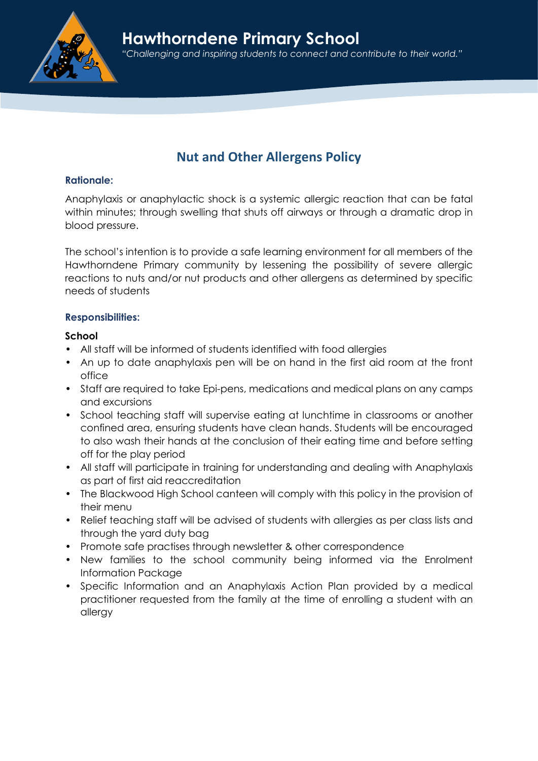

# Nut and Other Allergens Policy

## Rationale:

Anaphylaxis or anaphylactic shock is a systemic allergic reaction that can be fatal within minutes; through swelling that shuts off airways or through a dramatic drop in blood pressure.

The school's intention is to provide a safe learning environment for all members of the Hawthorndene Primary community by lessening the possibility of severe allergic reactions to nuts and/or nut products and other allergens as determined by specific needs of students

## Responsibilities:

## School

- All staff will be informed of students identified with food allergies
- An up to date anaphylaxis pen will be on hand in the first aid room at the front office
- Staff are required to take Epi-pens, medications and medical plans on any camps and excursions
- School teaching staff will supervise eating at lunchtime in classrooms or another confined area, ensuring students have clean hands. Students will be encouraged to also wash their hands at the conclusion of their eating time and before setting off for the play period
- All staff will participate in training for understanding and dealing with Anaphylaxis as part of first aid reaccreditation
- The Blackwood High School canteen will comply with this policy in the provision of their menu
- Relief teaching staff will be advised of students with allergies as per class lists and through the yard duty bag
- Promote safe practises through newsletter & other correspondence
- New families to the school community being informed via the Enrolment Information Package
- Specific Information and an Anaphylaxis Action Plan provided by a medical practitioner requested from the family at the time of enrolling a student with an allergy